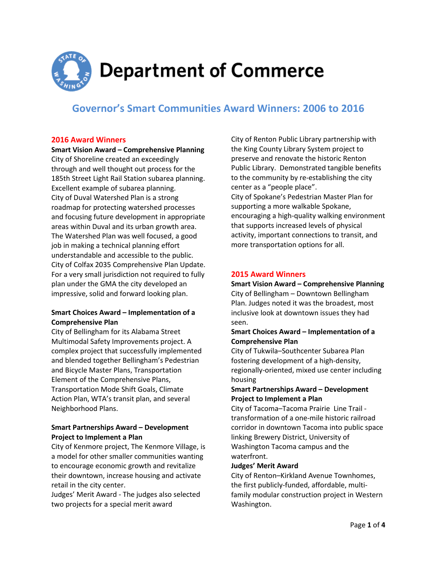

# **Governor's Smart Communities Award Winners: 2006 to 2016**

#### **2016 Award Winners**

**Smart Vision Award – Comprehensive Planning** City of Shoreline created an exceedingly through and well thought out process for the 185th Street Light Rail Station subarea planning. Excellent example of subarea planning. City of Duval Watershed Plan is a strong roadmap for protecting watershed processes and focusing future development in appropriate areas within Duval and its urban growth area. The Watershed Plan was well focused, a good job in making a technical planning effort understandable and accessible to the public. City of Colfax 2035 Comprehensive Plan Update. For a very small jurisdiction not required to fully plan under the GMA the city developed an impressive, solid and forward looking plan.

# **Smart Choices Award – Implementation of a Comprehensive Plan**

City of Bellingham for its Alabama Street Multimodal Safety Improvements project. A complex project that successfully implemented and blended together Bellingham's Pedestrian and Bicycle Master Plans, Transportation Element of the Comprehensive Plans, Transportation Mode Shift Goals, Climate Action Plan, WTA's transit plan, and several Neighborhood Plans.

# **Smart Partnerships Award – Development Project to Implement a Plan**

City of Kenmore project, The Kenmore Village, is a model for other smaller communities wanting to encourage economic growth and revitalize their downtown, increase housing and activate retail in the city center.

Judges' Merit Award - The judges also selected two projects for a special merit award

City of Renton Public Library partnership with the King County Library System project to preserve and renovate the historic Renton Public Library. Demonstrated tangible benefits to the community by re-establishing the city center as a "people place". City of Spokane's Pedestrian Master Plan for supporting a more walkable Spokane, encouraging a high-quality walking environment that supports increased levels of physical activity, important connections to transit, and more transportation options for all.

# **2015 Award Winners**

**Smart Vision Award – Comprehensive Planning** City of Bellingham – Downtown Bellingham Plan. Judges noted it was the broadest, most inclusive look at downtown issues they had seen.

# **Smart Choices Award – Implementation of a Comprehensive Plan**

City of Tukwila–Southcenter Subarea Plan fostering development of a high-density, regionally-oriented, mixed use center including housing

# **Smart Partnerships Award – Development Project to Implement a Plan**

City of Tacoma–Tacoma Prairie Line Trail transformation of a one-mile historic railroad corridor in downtown Tacoma into public space linking Brewery District, University of Washington Tacoma campus and the waterfront.

#### **Judges' Merit Award**

City of Renton–Kirkland Avenue Townhomes, the first publicly-funded, affordable, multifamily modular construction project in Western Washington.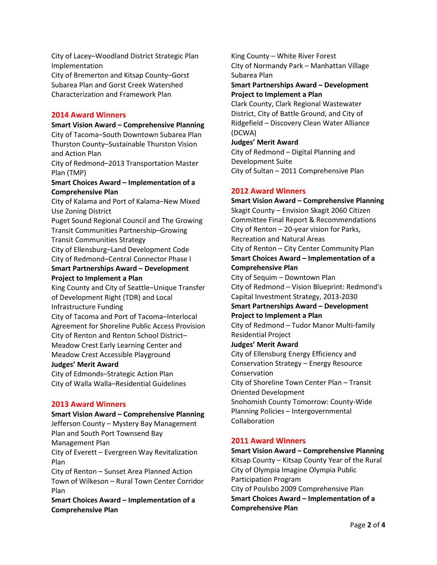City of Lacey–Woodland District Strategic Plan Implementation

City of Bremerton and Kitsap County–Gorst Subarea Plan and Gorst Creek Watershed Characterization and Framework Plan

## **2014 Award Winners**

**Smart Vision Award – Comprehensive Planning** City of Tacoma–South Downtown Subarea Plan Thurston County–Sustainable Thurston Vision and Action Plan City of Redmond–2013 Transportation Master

Plan (TMP) **Smart Choices Award – Implementation of a Comprehensive Plan**

City of Kalama and Port of Kalama–New Mixed Use Zoning District

Puget Sound Regional Council and The Growing Transit Communities Partnership–Growing

Transit Communities Strategy

City of Ellensburg–Land Development Code City of Redmond–Central Connector Phase I

### **Smart Partnerships Award – Development Project to Implement a Plan**

King County and City of Seattle–Unique Transfer of Development Right (TDR) and Local Infrastructure Funding

City of Tacoma and Port of Tacoma–Interlocal Agreement for Shoreline Public Access Provision City of Renton and Renton School District– Meadow Crest Early Learning Center and Meadow Crest Accessible Playground

# **Judges' Merit Award**

City of Edmonds–Strategic Action Plan City of Walla Walla–Residential Guidelines

# **2013 Award Winners**

**Smart Vision Award – Comprehensive Planning** Jefferson County – Mystery Bay Management Plan and South Port Townsend Bay Management Plan City of Everett – Evergreen Way Revitalization Plan City of Renton – Sunset Area Planned Action Town of Wilkeson – Rural Town Center Corridor Plan

**Smart Choices Award – Implementation of a Comprehensive Plan**

King County – White River Forest City of Normandy Park – Manhattan Village Subarea Plan

**Smart Partnerships Award – Development Project to Implement a Plan**

Clark County, Clark Regional Wastewater District, City of Battle Ground, and City of Ridgefield – Discovery Clean Water Alliance (DCWA)

#### **Judges' Merit Award**

City of Redmond – Digital Planning and Development Suite City of Sultan – 2011 Comprehensive Plan

# **2012 Award Winners**

**Smart Vision Award – Comprehensive Planning** Skagit County – Envision Skagit 2060 Citizen Committee Final Report & Recommendations City of Renton – 20-year vision for Parks, Recreation and Natural Areas City of Renton – City Center Community Plan **Smart Choices Award – Implementation of a Comprehensive Plan** City of Sequim – Downtown Plan City of Redmond – Vision Blueprint: Redmond's Capital Investment Strategy, 2013-2030 **Smart Partnerships Award – Development Project to Implement a Plan** City of Redmond – Tudor Manor Multi-family Residential Project **Judges' Merit Award** City of Ellensburg Energy Efficiency and Conservation Strategy – Energy Resource Conservation City of Shoreline Town Center Plan – Transit Oriented Development Snohomish County Tomorrow: County-Wide Planning Policies – Intergovernmental Collaboration

# **2011 Award Winners**

**Smart Vision Award – Comprehensive Planning** Kitsap County – Kitsap County Year of the Rural City of Olympia Imagine Olympia Public Participation Program City of Poulsbo 2009 Comprehensive Plan **Smart Choices Award – Implementation of a Comprehensive Plan**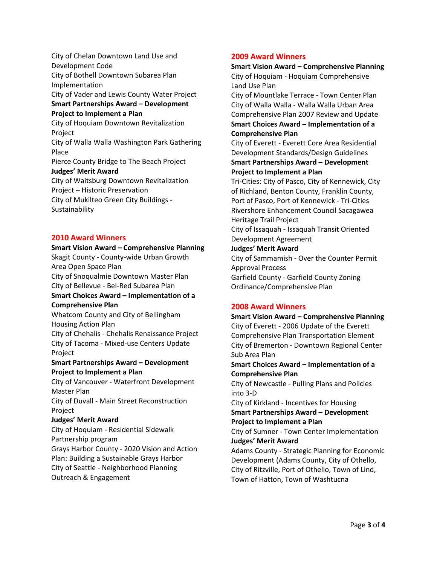City of Chelan Downtown Land Use and Development Code City of Bothell Downtown Subarea Plan Implementation City of Vader and Lewis County Water Project **Smart Partnerships Award – Development Project to Implement a Plan** City of Hoquiam Downtown Revitalization Project City of Walla Walla Washington Park Gathering Place Pierce County Bridge to The Beach Project **Judges' Merit Award** City of Waitsburg Downtown Revitalization Project – Historic Preservation City of Mukilteo Green City Buildings - Sustainability

#### **2010 Award Winners**

**Smart Vision Award – Comprehensive Planning** Skagit County - County-wide Urban Growth Area Open Space Plan City of Snoqualmie Downtown Master Plan City of Bellevue - Bel-Red Subarea Plan **Smart Choices Award – Implementation of a Comprehensive Plan** Whatcom County and City of Bellingham Housing Action Plan City of Chehalis - Chehalis Renaissance Project City of Tacoma - Mixed-use Centers Update Project **Smart Partnerships Award – Development Project to Implement a Plan** City of Vancouver - Waterfront Development Master Plan City of Duvall - Main Street Reconstruction Project

## **Judges' Merit Award**

City of Hoquiam - Residential Sidewalk Partnership program Grays Harbor County - 2020 Vision and Action Plan: Building a Sustainable Grays Harbor City of Seattle - Neighborhood Planning Outreach & Engagement

## **2009 Award Winners**

**Smart Vision Award – Comprehensive Planning** City of Hoquiam - Hoquiam Comprehensive Land Use Plan City of Mountlake Terrace - Town Center Plan City of Walla Walla - Walla Walla Urban Area Comprehensive Plan 2007 Review and Update **Smart Choices Award – Implementation of a Comprehensive Plan** City of Everett - Everett Core Area Residential Development Standards/Design Guidelines **Smart Partnerships Award – Development Project to Implement a Plan** Tri-Cities: City of Pasco, City of Kennewick, City of Richland, Benton County, Franklin County, Port of Pasco, Port of Kennewick - Tri-Cities Rivershore Enhancement Council Sacagawea Heritage Trail Project City of Issaquah - Issaquah Transit Oriented Development Agreement **Judges' Merit Award** City of Sammamish - Over the Counter Permit Approval Process Garfield County - Garfield County Zoning Ordinance/Comprehensive Plan

## **2008 Award Winners**

**Smart Vision Award – Comprehensive Planning** City of Everett - 2006 Update of the Everett Comprehensive Plan Transportation Element City of Bremerton - Downtown Regional Center Sub Area Plan **Smart Choices Award – Implementation of a Comprehensive Plan** City of Newcastle - Pulling Plans and Policies into 3-D City of Kirkland - Incentives for Housing **Smart Partnerships Award – Development Project to Implement a Plan** City of Sumner - Town Center Implementation **Judges' Merit Award** Adams County - Strategic Planning for Economic Development (Adams County, City of Othello, City of Ritzville, Port of Othello, Town of Lind, Town of Hatton, Town of Washtucna